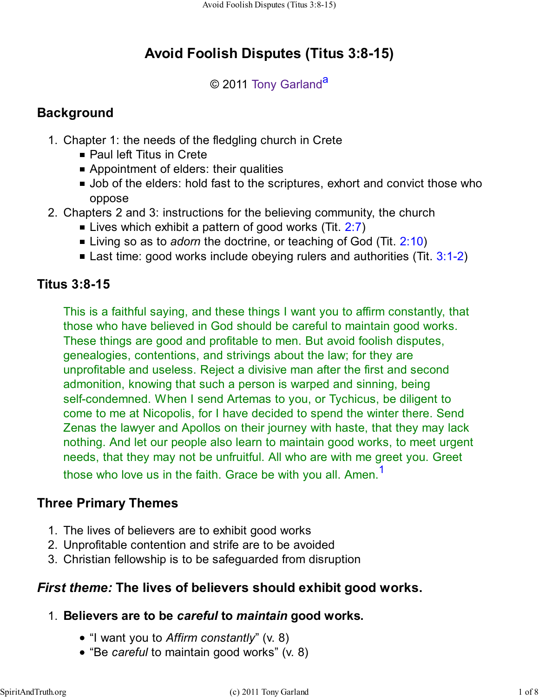# **Avoid Foolish Disputes (Titus 3:8-15)**

### © 2011 Tony Garland<sup>a</sup>

# **Background**

- 1. Chapter 1: the needs of the fledgling church in Crete
	- Paul left Titus in Crete
	- Appointment of elders: their qualities
	- Job of the elders: hold fast to the scriptures, exhort and convict those who oppose
- 2. Chapters 2 and 3: instructions for the believing community, the church
	- **Example 1** Lives which exhibit a pattern of good works (Tit.  $2:7$ )
	- Living so as to *adorn* the doctrine, or teaching of God (Tit. 2:10)
	- **E** Last time: good works include obeying rulers and authorities (Tit.  $3:1-2$ )

# **Titus 3:8-15**

This is a faithful saying, and these things I want you to affirm constantly, that those who have believed in God should be careful to maintain good works. These things are good and profitable to men. But avoid foolish disputes, genealogies, contentions, and strivings about the law; for they are unprofitable and useless. Reject a divisive man after the first and second admonition, knowing that such a person is warped and sinning, being self-condemned. When I send Artemas to you, or Tychicus, be diligent to come to me at Nicopolis, for I have decided to spend the winter there. Send Zenas the lawyer and Apollos on their journey with haste, that they may lack nothing. And let our people also learn to maintain good works, to meet urgent needs, that they may not be unfruitful. All who are with me greet you. Greet those who love us in the faith. Grace be with you all. Amen.<sup>1</sup>

# **Three Primary Themes**

- 1. The lives of believers are to exhibit good works
- 2. Unprofitable contention and strife are to be avoided
- 3. Christian fellowship is to be safeguarded from disruption

# *First theme:* **The lives of believers should exhibit good works.**

# **Believers are to be** *careful* **to** *maintain* **good works.** 1.

- "I want you to *Affirm constantly*" (v. 8)
- "Be *careful* to maintain good works" (v. 8)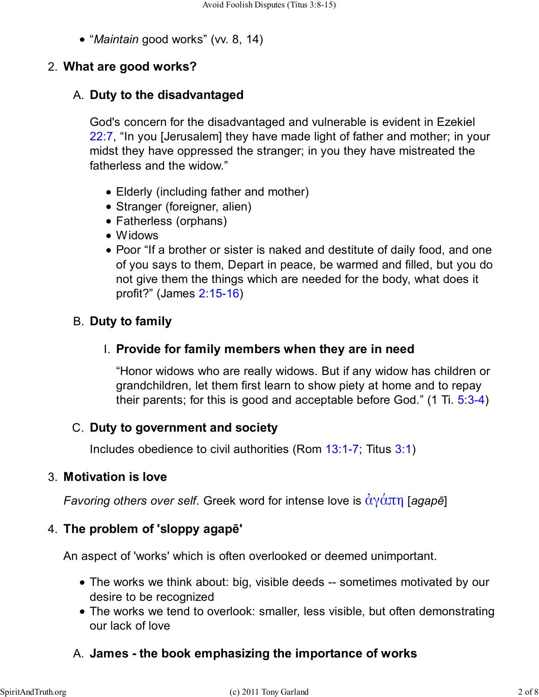"*Maintain* good works" (vv. 8, 14)

### 2. **What are good works?**

### **Duty to the disadvantaged** A.

God's concern for the disadvantaged and vulnerable is evident in Ezekiel 22:7, "In you [Jerusalem] they have made light of father and mother; in your midst they have oppressed the stranger; in you they have mistreated the fatherless and the widow."

- Elderly (including father and mother)
- Stranger (foreigner, alien)
- Fatherless (orphans)
- Widows
- Poor "If a brother or sister is naked and destitute of daily food, and one of you says to them, Depart in peace, be warmed and filled, but you do not give them the things which are needed for the body, what does it profit?" (James 2:15-16)

# B. **Duty to family**

### **Provide for family members when they are in need** I.

"Honor widows who are really widows. But if any widow has children or grandchildren, let them first learn to show piety at home and to repay their parents; for this is good and acceptable before God." (1 Ti. 5:3-4)

### **Duty to government and society** C.

Includes obedience to civil authorities (Rom 13:1-7; Titus 3:1)

### **Motivation is love** 3.

*Favoring others over self.* Greek word for intense love is ἀγάπη [*agapē*]

### **The problem of 'sloppy agapē'** 4.

An aspect of 'works' which is often overlooked or deemed unimportant.

- The works we think about: big, visible deeds -- sometimes motivated by our desire to be recognized
- The works we tend to overlook: smaller, less visible, but often demonstrating our lack of love

# A. **James - the book emphasizing the importance of works**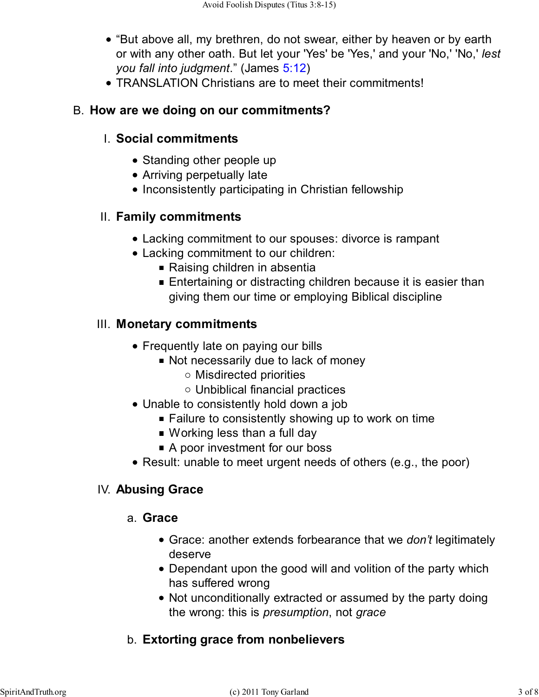- "But above all, my brethren, do not swear, either by heaven or by earth or with any other oath. But let your 'Yes' be 'Yes,' and your 'No,' 'No,' *lest you fall into judgment*." (James 5:12)
- TRANSLATION Christians are to meet their commitments!

#### B. **How are we doing on our commitments?**

### **Social commitments** I.

- Standing other people up
- Arriving perpetually late
- Inconsistently participating in Christian fellowship

#### **Family commitments** II.

- Lacking commitment to our spouses: divorce is rampant
- Lacking commitment to our children:
	- Raising children in absentia
	- **Entertaining or distracting children because it is easier than** giving them our time or employing Biblical discipline

#### **Monetary commitments** III.

- Frequently late on paying our bills
	- Not necessarily due to lack of money
		- Misdirected priorities
		- Unbiblical financial practices
- Unable to consistently hold down a job
	- Failure to consistently showing up to work on time
	- Working less than a full day
	- A poor investment for our boss
- Result: unable to meet urgent needs of others (e.g., the poor)

#### IV. **Abusing Grace**

#### **Grace** a.

- Grace: another extends forbearance that we *don't* legitimately deserve
- Dependant upon the good will and volition of the party which has suffered wrong
- Not unconditionally extracted or assumed by the party doing the wrong: this is *presumption*, not *grace*

# b. **Extorting grace from nonbelievers**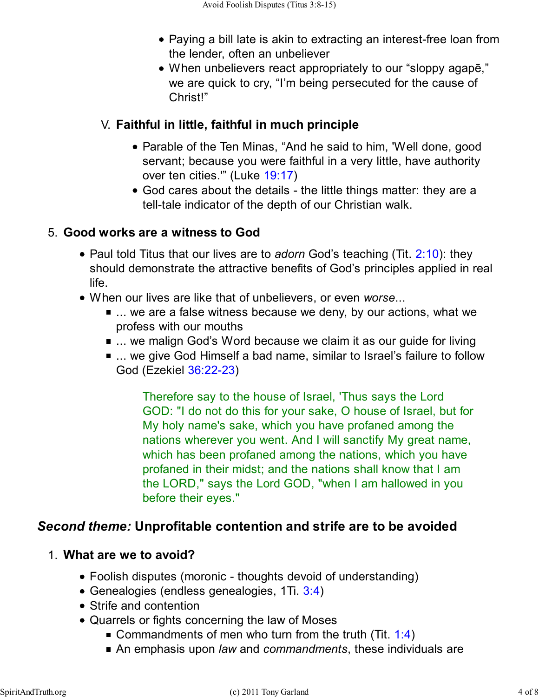- Paying a bill late is akin to extracting an interest-free loan from the lender, often an unbeliever
- When unbelievers react appropriately to our "sloppy agapē," we are quick to cry, "I'm being persecuted for the cause of Christ!"

# **Faithful in little, faithful in much principle** V.

- Parable of the Ten Minas, "And he said to him, 'Well done, good servant; because you were faithful in a very little, have authority over ten cities.'" (Luke 19:17)
- God cares about the details the little things matter: they are a tell-tale indicator of the depth of our Christian walk.

# **Good works are a witness to God** 5.

- Paul told Titus that our lives are to *adorn* God's teaching (Tit. 2:10): they should demonstrate the attractive benefits of God's principles applied in real life.
- When our lives are like that of unbelievers, or even *worse*...
	- ... we are a false witness because we deny, by our actions, what we profess with our mouths
	- ... we malign God's Word because we claim it as our guide for living
	- ... we give God Himself a bad name, similar to Israel's failure to follow God (Ezekiel 36:22-23)

Therefore say to the house of Israel, 'Thus says the Lord GOD: "I do not do this for your sake, O house of Israel, but for My holy name's sake, which you have profaned among the nations wherever you went. And I will sanctify My great name, which has been profaned among the nations, which you have profaned in their midst; and the nations shall know that I am the LORD," says the Lord GOD, "when I am hallowed in you before their eyes."

# *Second theme:* **Unprofitable contention and strife are to be avoided**

### **What are we to avoid?** 1.

- Foolish disputes (moronic thoughts devoid of understanding)
- Genealogies (endless genealogies, 1Ti. 3:4)
- Strife and contention
- Quarrels or fights concerning the law of Moses
	- Gommandments of men who turn from the truth (Tit. 1:4)
	- An emphasis upon *law* and *commandments*, these individuals are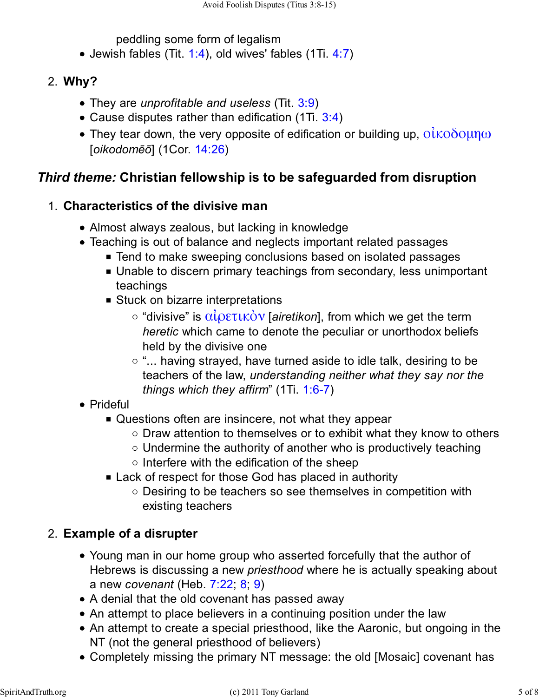peddling some form of legalism

 $\bullet$  Jewish fables (Tit. 1:4), old wives' fables (1Ti. 4:7)

### **Why?** 2.

- They are *unprofitable and useless* (Tit. 3:9)
- Cause disputes rather than edification (1Ti. 3:4)
- They tear down, the very opposite of edification or building up,  $\alpha\hat{i}$ κοδομη $\omega$ [*oikodomēō*] (1Cor. 14:26)

# *Third theme:* **Christian fellowship is to be safeguarded from disruption**

### **Characteristics of the divisive man** 1.

- Almost always zealous, but lacking in knowledge
- Teaching is out of balance and neglects important related passages
	- Tend to make sweeping conclusions based on isolated passages
		- Unable to discern primary teachings from secondary, less unimportant teachings
		- **Stuck on bizarre interpretations** 
			- "divisive" is αἰρετικὸν [*airetikon*], from which we get the term *heretic* which came to denote the peculiar or unorthodox beliefs held by the divisive one
			- $\circ$  "... having strayed, have turned aside to idle talk, desiring to be teachers of the law, *understanding neither what they say nor the things which they affirm*" (1Ti. 1:6-7)
- Prideful
	- Questions often are insincere, not what they appear
		- $\circ$  Draw attention to themselves or to exhibit what they know to others
		- $\circ$  Undermine the authority of another who is productively teaching
		- $\circ$  Interfere with the edification of the sheep
	- Lack of respect for those God has placed in authority
		- o Desiring to be teachers so see themselves in competition with existing teachers

# **Example of a disrupter** 2.

- Young man in our home group who asserted forcefully that the author of Hebrews is discussing a new *priesthood* where he is actually speaking about a new *covenant* (Heb. 7:22; 8; 9)
- A denial that the old covenant has passed away
- An attempt to place believers in a continuing position under the law
- An attempt to create a special priesthood, like the Aaronic, but ongoing in the NT (not the general priesthood of believers)
- Completely missing the primary NT message: the old [Mosaic] covenant has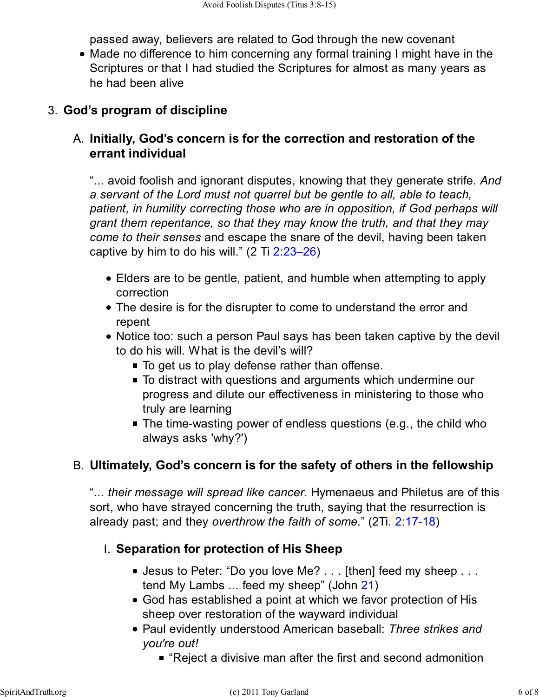passed away, believers are related to God through the new covenant

Made no difference to him concerning any formal training I might have in the Scriptures or that I had studied the Scriptures for almost as many years as he had been alive

### 3. **God's program of discipline**

# **Initially, God's concern is for the correction and restoration of the** A. **errant individual**

"... avoid foolish and ignorant disputes, knowing that they generate strife. *And a servant of the Lord must not quarrel but be gentle to all, able to teach, patient, in humility correcting those who are in opposition, if God perhaps will grant them repentance, so that they may know the truth, and that they may come to their senses* and escape the snare of the devil, having been taken captive by him to do his will."  $(2 \text{ Ti } 2:23-26)$ 

- Elders are to be gentle, patient, and humble when attempting to apply correction
- The desire is for the disrupter to come to understand the error and repent
- Notice too: such a person Paul says has been taken captive by the devil to do his will. What is the devil's will?
	- To get us to play defense rather than offense.
	- $\blacksquare$  To distract with questions and arguments which undermine our progress and dilute our effectiveness in ministering to those who truly are learning
	- The time-wasting power of endless questions (e.g., the child who always asks 'why?')

# **Ultimately, God's concern is for the safety of others in the fellowship** B.

"... *their message will spread like cancer*. Hymenaeus and Philetus are of this sort, who have strayed concerning the truth, saying that the resurrection is already past; and they *overthrow the faith of some*." (2Ti. 2:17-18)

### **Separation for protection of His Sheep** I.

- Jesus to Peter: "Do you love Me? . . . [then] feed my sheep . . . tend My Lambs ... feed my sheep" (John 21)
- God has established a point at which we favor protection of His sheep over restoration of the wayward individual
- Paul evidently understood American baseball: *Three strikes and you're out!*
	- "Reject a divisive man after the first and second admonition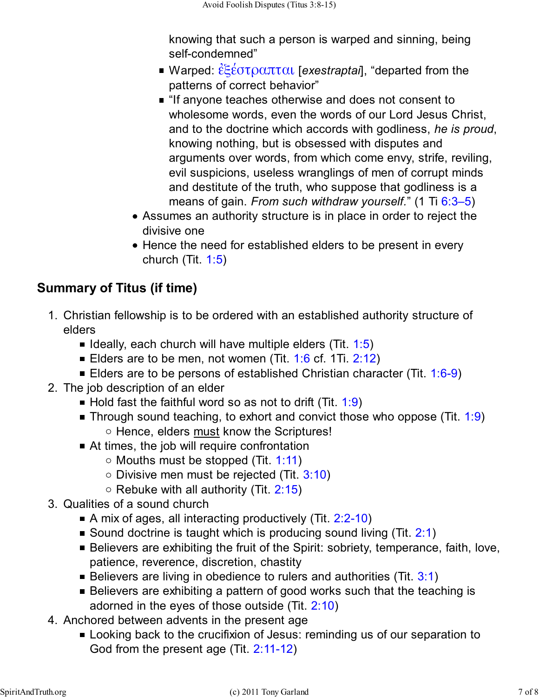knowing that such a person is warped and sinning, being self-condemned"

- Warped: ἐξέστραπται [*exestraptai*], "departed from the patterns of correct behavior"
- **If anyone teaches otherwise and does not consent to** wholesome words, even the words of our Lord Jesus Christ, and to the doctrine which accords with godliness, *he is proud*, knowing nothing, but is obsessed with disputes and arguments over words, from which come envy, strife, reviling, evil suspicions, useless wranglings of men of corrupt minds and destitute of the truth, who suppose that godliness is a means of gain. *From such withdraw yourself.*" (1 Ti 6:3–5)
- Assumes an authority structure is in place in order to reject the divisive one
- Hence the need for established elders to be present in every church (Tit. 1:5)

# **Summary of Titus (if time)**

- Christian fellowship is to be ordered with an established authority structure of 1. elders
	- I Ideally, each church will have multiple elders (Tit.  $1:5$ )
	- Elders are to be men, not women (Tit.  $1:6$  cf. 1Ti. 2:12)
	- Elders are to be persons of established Christian character (Tit.  $1:6-9$ )
- 2. The job description of an elder
	- Hold fast the faithful word so as not to drift (Tit. 1:9)
	- **Through sound teaching, to exhort and convict those who oppose (Tit. 1:9)** Hence, elders must know the Scriptures!
	- At times, the job will require confrontation
		- $\circ$  Mouths must be stopped (Tit. 1:11)
		- $\circ$  Divisive men must be rejected (Tit. 3:10)
		- $\circ$  Rebuke with all authority (Tit. 2:15)
- 3. Qualities of a sound church
	- A mix of ages, all interacting productively (Tit. 2:2-10)
	- Sound doctrine is taught which is producing sound living (Tit.  $2:1$ )
	- Believers are exhibiting the fruit of the Spirit: sobriety, temperance, faith, love, patience, reverence, discretion, chastity
	- Believers are living in obedience to rulers and authorities (Tit.  $3:1$ )
	- Believers are exhibiting a pattern of good works such that the teaching is adorned in the eyes of those outside (Tit. 2:10)
- 4. Anchored between advents in the present age
	- **Looking back to the crucifixion of Jesus: reminding us of our separation to** God from the present age (Tit. 2:11-12)